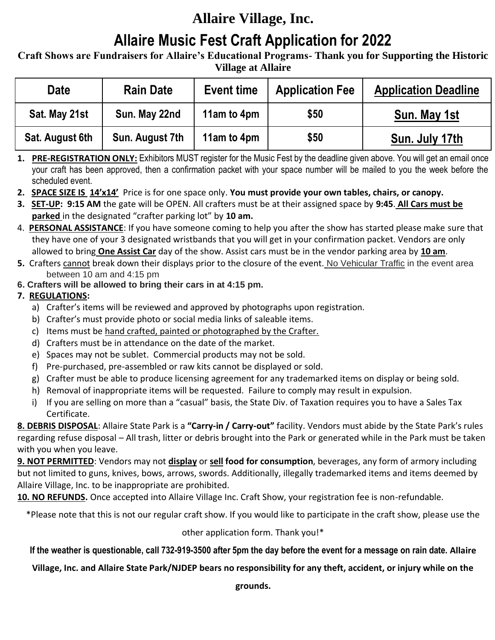# **Allaire Village, Inc.**

# **Allaire Music Fest Craft Application for 2022**

**Craft Shows are Fundraisers for Allaire's Educational Programs- Thank you for Supporting the Historic Village at Allaire**

| Date            | <b>Rain Date</b> | <b>Event time</b> | <b>Application Fee</b> | <b>Application Deadline</b> |
|-----------------|------------------|-------------------|------------------------|-----------------------------|
| Sat. May 21st   | Sun. May 22nd    | 11am to 4pm       | \$50                   | Sun. May 1st                |
| Sat. August 6th | Sun. August 7th  | 11am to 4pm       | \$50                   | Sun. July 17th              |

**1. PRE-REGISTRATION ONLY:** Exhibitors MUST register for the Music Fest by the deadline given above. You will get an email once your craft has been approved, then a confirmation packet with your space number will be mailed to you the week before the scheduled event.

- **2. SPACE SIZE IS 14'x14'** Price is for one space only. **You must provide your own tables, chairs, or canopy.**
- **3. SET-UP: 9:15 AM** the gate will be OPEN. All crafters must be at their assigned space by **9:45**. **All Cars must be parked** in the designated "crafter parking lot" by **10 am.**
- 4. **PERSONAL ASSISTANCE**: If you have someone coming to help you after the show has started please make sure that they have one of your 3 designated wristbands that you will get in your confirmation packet. Vendors are only allowed to bring **One Assist Car** day of the show. Assist cars must be in the vendor parking area by **10 am**.
- **5.** Crafters cannot break down their displays prior to the closure of the event. No Vehicular Traffic in the event area between 10 am and 4:15 pm

### **6. Crafters will be allowed to bring their cars in at 4:15 pm.**

## **7. REGULATIONS:**

- a) Crafter's items will be reviewed and approved by photographs upon registration.
- b) Crafter's must provide photo or social media links of saleable items.
- c) Items must be hand crafted, painted or photographed by the Crafter.
- d) Crafters must be in attendance on the date of the market.
- e) Spaces may not be sublet. Commercial products may not be sold.
- f) Pre-purchased, pre-assembled or raw kits cannot be displayed or sold.
- g) Crafter must be able to produce licensing agreement for any trademarked items on display or being sold.
- h) Removal of inappropriate items will be requested. Failure to comply may result in expulsion.
- i) If you are selling on more than a "casual" basis, the State Div. of Taxation requires you to have a Sales Tax Certificate.

**8. DEBRIS DISPOSAL**: Allaire State Park is a **"Carry-in / Carry-out"** facility. Vendors must abide by the State Park's rules regarding refuse disposal – All trash, litter or debris brought into the Park or generated while in the Park must be taken with you when you leave.

**9. NOT PERMITTED**: Vendors may not **display** or **sell food for consumption**, beverages, any form of armory including but not limited to guns, knives, bows, arrows, swords. Additionally, illegally trademarked items and items deemed by Allaire Village, Inc. to be inappropriate are prohibited.

**10. NO REFUNDS.** Once accepted into Allaire Village Inc. Craft Show, your registration fee is non-refundable.

\*Please note that this is not our regular craft show. If you would like to participate in the craft show, please use the

#### other application form. Thank you!\*

## **If the weather is questionable, call 732-919-3500 after 5pm the day before the event for a message on rain date. Allaire**

#### **Village, Inc. and Allaire State Park/NJDEP bears no responsibility for any theft, accident, or injury while on the**

**grounds.**